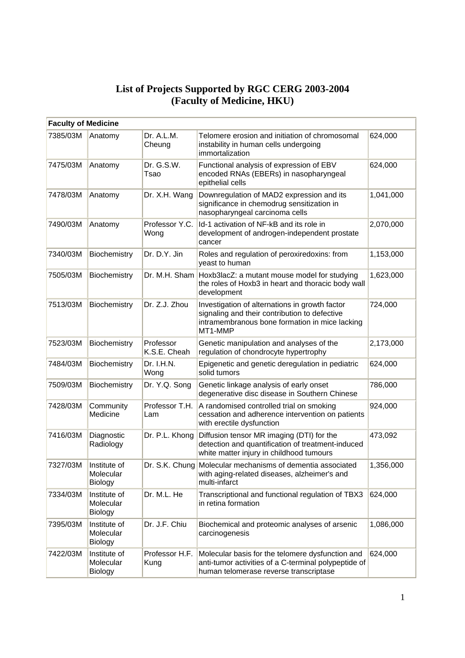## **List of Projects Supported by RGC CERG 2003-2004 (Faculty of Medicine, HKU)**

| <b>Faculty of Medicine</b> |                                             |                           |                                                                                                                                                              |           |
|----------------------------|---------------------------------------------|---------------------------|--------------------------------------------------------------------------------------------------------------------------------------------------------------|-----------|
| 7385/03M                   | Anatomy                                     | Dr. A.L.M.<br>Cheung      | Telomere erosion and initiation of chromosomal<br>instability in human cells undergoing<br>immortalization                                                   | 624,000   |
| 7475/03M                   | Anatomy                                     | Dr. G.S.W.<br>Tsao        | Functional analysis of expression of EBV<br>encoded RNAs (EBERs) in nasopharyngeal<br>epithelial cells                                                       | 624,000   |
| 7478/03M                   | Anatomy                                     | Dr. X.H. Wang             | Downregulation of MAD2 expression and its<br>significance in chemodrug sensitization in<br>nasopharyngeal carcinoma cells                                    | 1,041,000 |
| 7490/03M                   | Anatomy                                     | Professor Y.C.<br>Wong    | Id-1 activation of NF-kB and its role in<br>development of androgen-independent prostate<br>cancer                                                           | 2,070,000 |
| 7340/03M                   | Biochemistry                                | Dr. D.Y. Jin              | Roles and regulation of peroxiredoxins: from<br>yeast to human                                                                                               | 1,153,000 |
| 7505/03M                   | Biochemistry                                | Dr. M.H. Sham             | Hoxb3lacZ: a mutant mouse model for studying<br>the roles of Hoxb3 in heart and thoracic body wall<br>development                                            | 1,623,000 |
| 7513/03M                   | Biochemistry                                | Dr. Z.J. Zhou             | Investigation of alternations in growth factor<br>signaling and their contribution to defective<br>intramembranous bone formation in mice lacking<br>MT1-MMP | 724,000   |
| 7523/03M                   | Biochemistry                                | Professor<br>K.S.E. Cheah | Genetic manipulation and analyses of the<br>regulation of chondrocyte hypertrophy                                                                            | 2,173,000 |
| 7484/03M                   | Biochemistry                                | Dr. I.H.N.<br>Wong        | Epigenetic and genetic deregulation in pediatric<br>solid tumors                                                                                             | 624,000   |
| 7509/03M                   | Biochemistry                                | Dr. Y.Q. Song             | Genetic linkage analysis of early onset<br>degenerative disc disease in Southern Chinese                                                                     | 786,000   |
| 7428/03M                   | Community<br>Medicine                       | Professor T.H.<br>Lam     | A randomised controlled trial on smoking<br>cessation and adherence intervention on patients<br>with erectile dysfunction                                    | 924,000   |
| 7416/03M                   | Diagnostic<br>Radiology                     | Dr. P.L. Khong            | Diffusion tensor MR imaging (DTI) for the<br>detection and quantification of treatment-induced<br>white matter injury in childhood tumours                   | 473,092   |
| 7327/03M                   | Institute of<br>Molecular<br><b>Biology</b> |                           | Dr. S.K. Chung Molecular mechanisms of dementia associated<br>with aging-related diseases, alzheimer's and<br>multi-infarct                                  | 1,356,000 |
| 7334/03M                   | Institute of<br>Molecular<br><b>Biology</b> | Dr. M.L. He               | Transcriptional and functional regulation of TBX3<br>in retina formation                                                                                     | 624,000   |
| 7395/03M                   | Institute of<br>Molecular<br><b>Biology</b> | Dr. J.F. Chiu             | Biochemical and proteomic analyses of arsenic<br>carcinogenesis                                                                                              | 1,086,000 |
| 7422/03M                   | Institute of<br>Molecular<br>Biology        | Professor H.F.<br>Kung    | Molecular basis for the telomere dysfunction and<br>anti-tumor activities of a C-terminal polypeptide of<br>human telomerase reverse transcriptase           | 624,000   |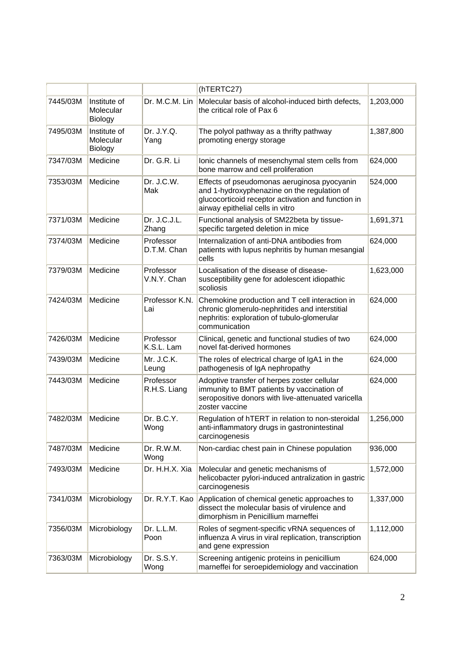|          |                                      |                           | (hTERTC27)                                                                                                                                                                           |           |
|----------|--------------------------------------|---------------------------|--------------------------------------------------------------------------------------------------------------------------------------------------------------------------------------|-----------|
| 7445/03M | Institute of<br>Molecular<br>Biology | Dr. M.C.M. Lin            | Molecular basis of alcohol-induced birth defects,<br>the critical role of Pax 6                                                                                                      | 1,203,000 |
| 7495/03M | Institute of<br>Molecular<br>Biology | Dr. J.Y.Q.<br>Yang        | The polyol pathway as a thrifty pathway<br>promoting energy storage                                                                                                                  | 1,387,800 |
| 7347/03M | Medicine                             | Dr. G.R. Li               | lonic channels of mesenchymal stem cells from<br>bone marrow and cell proliferation                                                                                                  | 624,000   |
| 7353/03M | Medicine                             | Dr. J.C.W.<br>Mak         | Effects of pseudomonas aeruginosa pyocyanin<br>and 1-hydroxyphenazine on the regulation of<br>glucocorticoid receptor activation and function in<br>airway epithelial cells in vitro | 524,000   |
| 7371/03M | Medicine                             | Dr. J.C.J.L.<br>Zhang     | Functional analysis of SM22beta by tissue-<br>specific targeted deletion in mice                                                                                                     | 1,691,371 |
| 7374/03M | Medicine                             | Professor<br>D.T.M. Chan  | Internalization of anti-DNA antibodies from<br>patients with lupus nephritis by human mesangial<br>cells                                                                             | 624,000   |
| 7379/03M | Medicine                             | Professor<br>V.N.Y. Chan  | Localisation of the disease of disease-<br>susceptibility gene for adolescent idiopathic<br>scoliosis                                                                                | 1,623,000 |
| 7424/03M | Medicine                             | Professor K.N.<br>Lai     | Chemokine production and T cell interaction in<br>chronic glomerulo-nephritides and interstitial<br>nephritis: exploration of tubulo-glomerular<br>communication                     | 624,000   |
| 7426/03M | Medicine                             | Professor<br>K.S.L. Lam   | Clinical, genetic and functional studies of two<br>novel fat-derived hormones                                                                                                        | 624,000   |
| 7439/03M | Medicine                             | Mr. J.C.K.<br>Leung       | The roles of electrical charge of IgA1 in the<br>pathogenesis of IgA nephropathy                                                                                                     | 624,000   |
| 7443/03M | Medicine                             | Professor<br>R.H.S. Liang | Adoptive transfer of herpes zoster cellular<br>immunity to BMT patients by vaccination of<br>seropositive donors with live-attenuated varicella<br>zoster vaccine                    | 624,000   |
| 7482/03M | Medicine                             | Dr. B.C.Y.<br>Wong        | Regulation of hTERT in relation to non-steroidal<br>anti-inflammatory drugs in gastronintestinal<br>carcinogenesis                                                                   | 1,256,000 |
| 7487/03M | Medicine                             | Dr. R.W.M.<br>Wong        | Non-cardiac chest pain in Chinese population                                                                                                                                         | 936,000   |
| 7493/03M | Medicine                             | Dr. H.H.X. Xia            | Molecular and genetic mechanisms of<br>helicobacter pylori-induced antralization in gastric<br>carcinogenesis                                                                        | 1,572,000 |
| 7341/03M | Microbiology                         | Dr. R.Y.T. Kao            | Application of chemical genetic approaches to<br>dissect the molecular basis of virulence and<br>dimorphism in Penicillium marneffei                                                 | 1,337,000 |
| 7356/03M | Microbiology                         | Dr. L.L.M.<br>Poon        | Roles of segment-specific vRNA sequences of<br>influenza A virus in viral replication, transcription<br>and gene expression                                                          | 1,112,000 |
| 7363/03M | Microbiology                         | Dr. S.S.Y.<br>Wong        | Screening antigenic proteins in penicillium<br>marneffei for seroepidemiology and vaccination                                                                                        | 624,000   |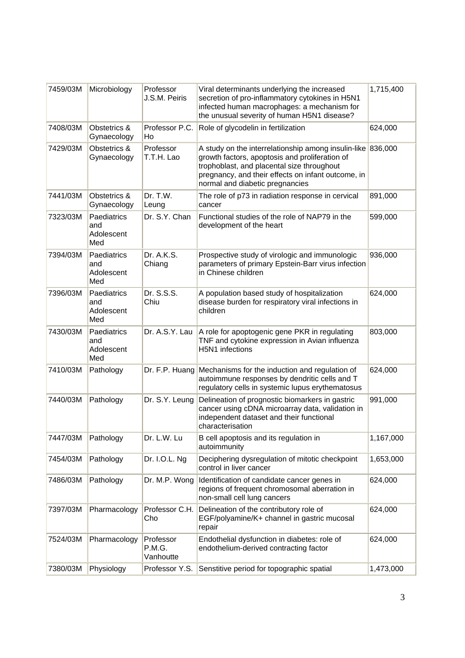| 7459/03M | Microbiology                            | Professor<br>J.S.M. Peiris       | Viral determinants underlying the increased<br>secretion of pro-inflammatory cytokines in H5N1<br>infected human macrophages: a mechanism for<br>the unusual severity of human H5N1 disease?                                                 | 1,715,400 |
|----------|-----------------------------------------|----------------------------------|----------------------------------------------------------------------------------------------------------------------------------------------------------------------------------------------------------------------------------------------|-----------|
| 7408/03M | Obstetrics &<br>Gynaecology             | Professor P.C.<br>Ho             | Role of glycodelin in fertilization                                                                                                                                                                                                          | 624,000   |
| 7429/03M | Obstetrics &<br>Gynaecology             | Professor<br>T.T.H. Lao          | A study on the interrelationship among insulin-like<br>growth factors, apoptosis and proliferation of<br>trophoblast, and placental size throughout<br>pregnancy, and their effects on infant outcome, in<br>normal and diabetic pregnancies | 836,000   |
| 7441/03M | Obstetrics &<br>Gynaecology             | Dr. T.W.<br>Leung                | The role of p73 in radiation response in cervical<br>cancer                                                                                                                                                                                  | 891,000   |
| 7323/03M | Paediatrics<br>and<br>Adolescent<br>Med | Dr. S.Y. Chan                    | Functional studies of the role of NAP79 in the<br>development of the heart                                                                                                                                                                   | 599,000   |
| 7394/03M | Paediatrics<br>and<br>Adolescent<br>Med | Dr. A.K.S.<br>Chiang             | Prospective study of virologic and immunologic<br>parameters of primary Epstein-Barr virus infection<br>in Chinese children                                                                                                                  | 936,000   |
| 7396/03M | Paediatrics<br>and<br>Adolescent<br>Med | Dr. S.S.S.<br>Chiu               | A population based study of hospitalization<br>disease burden for respiratory viral infections in<br>children                                                                                                                                | 624,000   |
| 7430/03M | Paediatrics<br>and<br>Adolescent<br>Med | Dr. A.S.Y. Lau                   | A role for apoptogenic gene PKR in regulating<br>TNF and cytokine expression in Avian influenza<br>H5N1 infections                                                                                                                           | 803,000   |
| 7410/03M | Pathology                               | Dr. F.P. Huang                   | Mechanisms for the induction and regulation of<br>autoimmune responses by dendritic cells and T<br>regulatory cells in systemic lupus erythematosus                                                                                          | 624,000   |
| 7440/03M | Pathology                               | Dr. S.Y. Leung                   | Delineation of prognostic biomarkers in gastric<br>cancer using cDNA microarray data, validation in<br>independent dataset and their functional<br>characterisation                                                                          | 991,000   |
| 7447/03M | Pathology                               | Dr. L.W. Lu                      | B cell apoptosis and its regulation in<br>autoimmunity                                                                                                                                                                                       | 1,167,000 |
| 7454/03M | Pathology                               | Dr. I.O.L. Ng                    | Deciphering dysregulation of mitotic checkpoint<br>control in liver cancer                                                                                                                                                                   | 1,653,000 |
| 7486/03M | Pathology                               | Dr. M.P. Wong                    | Identification of candidate cancer genes in<br>regions of frequent chromosomal aberration in<br>non-small cell lung cancers                                                                                                                  | 624,000   |
| 7397/03M | Pharmacology                            | Professor C.H.<br>Cho            | Delineation of the contributory role of<br>EGF/polyamine/K+ channel in gastric mucosal<br>repair                                                                                                                                             | 624,000   |
| 7524/03M | Pharmacology                            | Professor<br>P.M.G.<br>Vanhoutte | Endothelial dysfunction in diabetes: role of<br>endothelium-derived contracting factor                                                                                                                                                       | 624,000   |
| 7380/03M | Physiology                              | Professor Y.S.                   | Senstitive period for topographic spatial                                                                                                                                                                                                    | 1,473,000 |